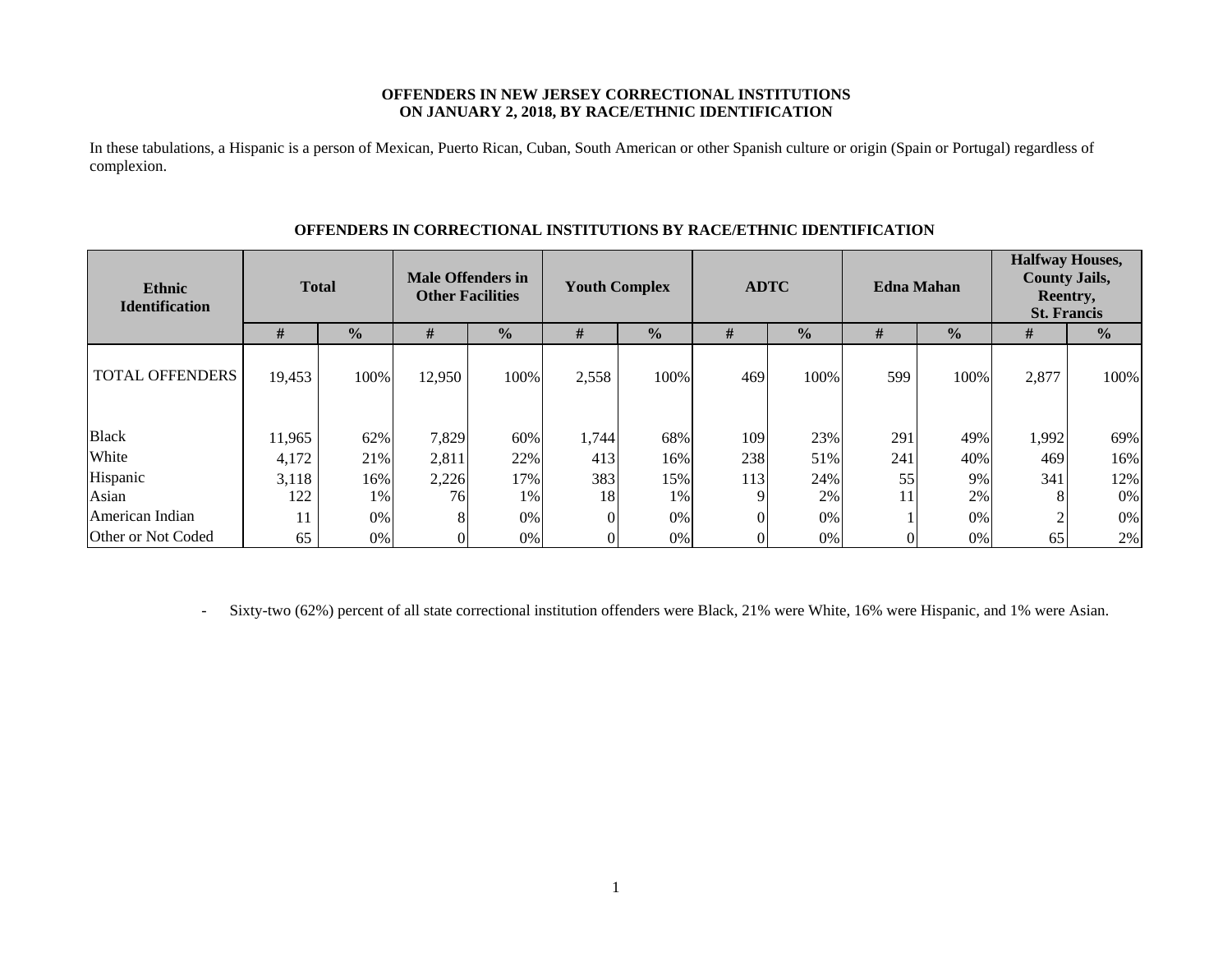### **OFFENDERS IN NEW JERSEY CORRECTIONAL INSTITUTIONS ON JANUARY 2, 2018, BY RACE/ETHNIC IDENTIFICATION**

In these tabulations, a Hispanic is a person of Mexican, Puerto Rican, Cuban, South American or other Spanish culture or origin (Spain or Portugal) regardless of complexion.

| <b>Ethnic</b><br><b>Identification</b> | <b>Total</b> |               | <b>Male Offenders in</b><br><b>Other Facilities</b> |               | <b>Youth Complex</b> |               | <b>ADTC</b> |               | <b>Edna Mahan</b> |               | <b>Halfway Houses,</b><br><b>County Jails,</b><br>Reentry,<br><b>St. Francis</b> |                |
|----------------------------------------|--------------|---------------|-----------------------------------------------------|---------------|----------------------|---------------|-------------|---------------|-------------------|---------------|----------------------------------------------------------------------------------|----------------|
|                                        | #            | $\frac{0}{0}$ | #                                                   | $\frac{0}{0}$ | #                    | $\frac{0}{0}$ | #           | $\frac{0}{0}$ | #                 | $\frac{0}{0}$ | #                                                                                | $\frac{6}{10}$ |
| <b>TOTAL OFFENDERS</b>                 | 19,453       | 100%          | 12,950                                              | 100%          | 2,558                | 100%          | 469         | 100%          | 599               | 100%          | 2,877                                                                            | 100%           |
| <b>Black</b>                           | 11,965       | 62%           | 7,829                                               | 60%           | 1,744                | 68%           | 109         | 23%           | 291               | 49%           | 1,992                                                                            | 69%            |
| White                                  | 4,172        | 21%           | 2,811                                               | 22%           | 413                  | 16%           | 238         | 51%           | 241               | 40%           | 469                                                                              | 16%            |
| Hispanic                               | 3,118        | 16%           | 2,226                                               | 17%           | 383                  | 15%           | 113         | 24%           | 55                | 9%            | 341                                                                              | 12%            |
| Asian                                  | 122          | 1%            | 76                                                  | 1%            | 18                   | 1%            |             | 2%            | 11                | 2%            |                                                                                  | $0\%$          |
| American Indian                        | 11           | 0%            | 8                                                   | $0\%$         |                      | $0\%$         |             | 0%            |                   | $0\%$         |                                                                                  | 0%             |
| Other or Not Coded                     | 65           | 0%            |                                                     | 0%            |                      | 0%            |             | $0\%$         |                   | $0\%$         | 65                                                                               | 2%             |

### **OFFENDERS IN CORRECTIONAL INSTITUTIONS BY RACE/ETHNIC IDENTIFICATION**

-Sixty-two (62%) percent of all state correctional institution offenders were Black, 21% were White, 16% were Hispanic, and 1% were Asian.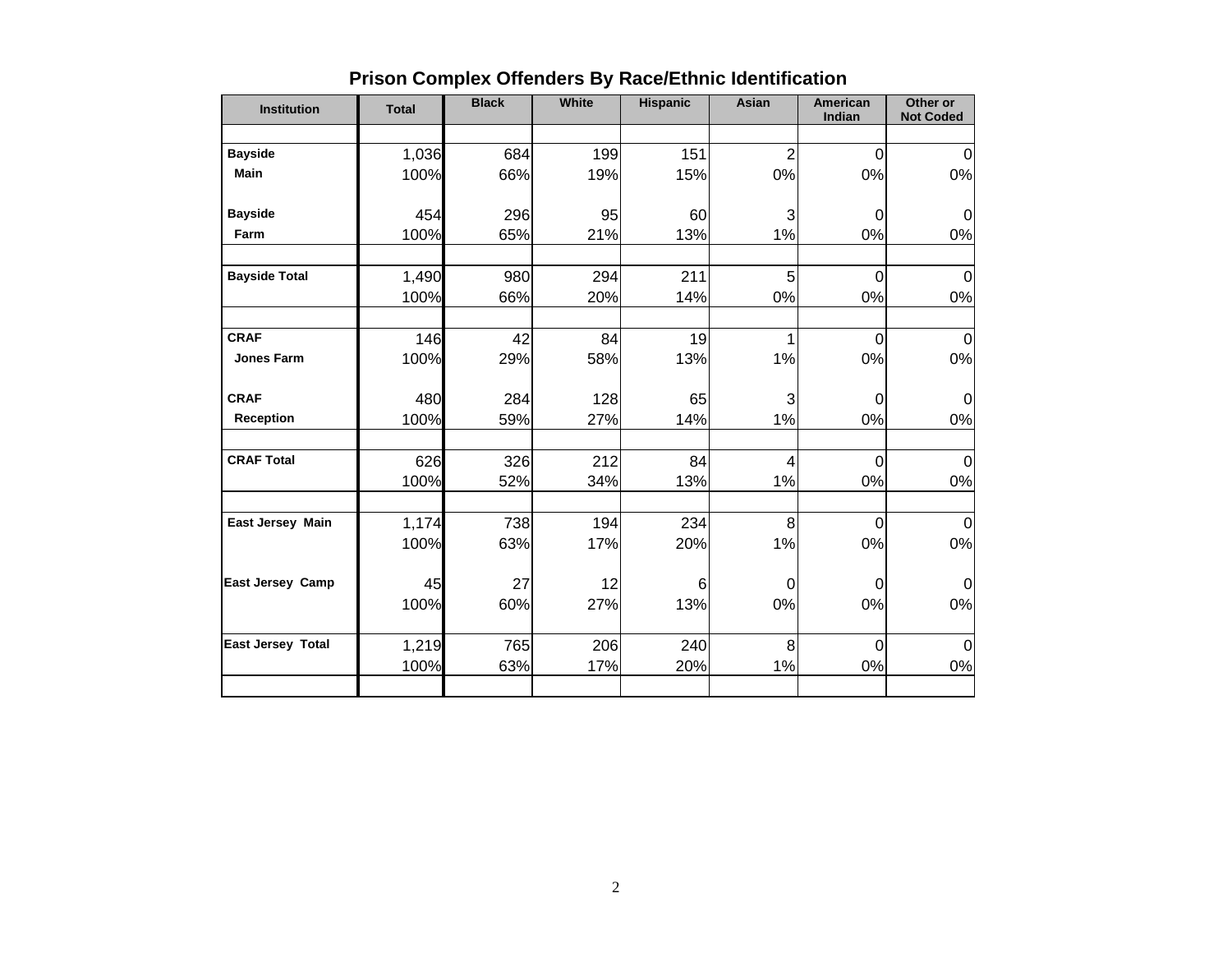| <b>Institution</b>       | <b>Total</b> | <b>Black</b> | <b>White</b> | <b>Hispanic</b> | Asian          | <b>American</b><br>Indian | Other or<br><b>Not Coded</b> |
|--------------------------|--------------|--------------|--------------|-----------------|----------------|---------------------------|------------------------------|
|                          |              |              |              |                 |                |                           |                              |
| <b>Bayside</b>           | 1,036        | 684          | 199          | 151             | $\overline{2}$ | $\mathbf 0$               | $\mathbf 0$                  |
| <b>Main</b>              | 100%         | 66%          | 19%          | 15%             | 0%             | 0%                        | $0\%$                        |
| <b>Bayside</b>           | 454          | 296          | 95           | 60              | 3              | 0                         | $\Omega$                     |
| Farm                     | 100%         | 65%          | 21%          | 13%             | 1%             | 0%                        | $0\%$                        |
| <b>Bayside Total</b>     | 1,490        | 980          | 294          | 211             | 5              | $\mathbf 0$               | $\mathbf 0$                  |
|                          | 100%         | 66%          | 20%          | 14%             | 0%             | 0%                        | 0%                           |
| <b>CRAF</b>              | 146          | 42           | 84           | 19              | 1              | $\mathbf 0$               | $\mathbf 0$                  |
| <b>Jones Farm</b>        | 100%         | 29%          | 58%          | 13%             | 1%             | 0%                        | $0\%$                        |
| <b>CRAF</b>              | 480          | 284          | 128          | 65              | 3              | $\mathbf 0$               | $\mathbf 0$                  |
| <b>Reception</b>         | 100%         | 59%          | 27%          | 14%             | 1%             | 0%                        | 0%                           |
| <b>CRAF Total</b>        | 626          | 326          | 212          | 84              | $\overline{4}$ | $\mathbf 0$               | 0                            |
|                          | 100%         | 52%          | 34%          | 13%             | 1%             | 0%                        | 0%                           |
| East Jersey Main         | 1,174        | 738          | 194          | 234             | 8              | $\overline{0}$            | $\Omega$                     |
|                          | 100%         | 63%          | 17%          | 20%             | 1%             | 0%                        | $0\%$                        |
| East Jersey Camp         | 45           | 27           | 12           | 6               | 0              | 0                         | $\mathbf 0$                  |
|                          | 100%         | 60%          | 27%          | 13%             | 0%             | 0%                        | 0%                           |
| <b>East Jersey Total</b> | 1,219        | 765          | 206          | 240             | 8              | $\mathbf 0$               | $\mathbf 0$                  |
|                          | 100%         | 63%          | 17%          | 20%             | 1%             | 0%                        | 0%                           |
|                          |              |              |              |                 |                |                           |                              |

# **Prison Complex Offenders By Race/Ethnic Identification**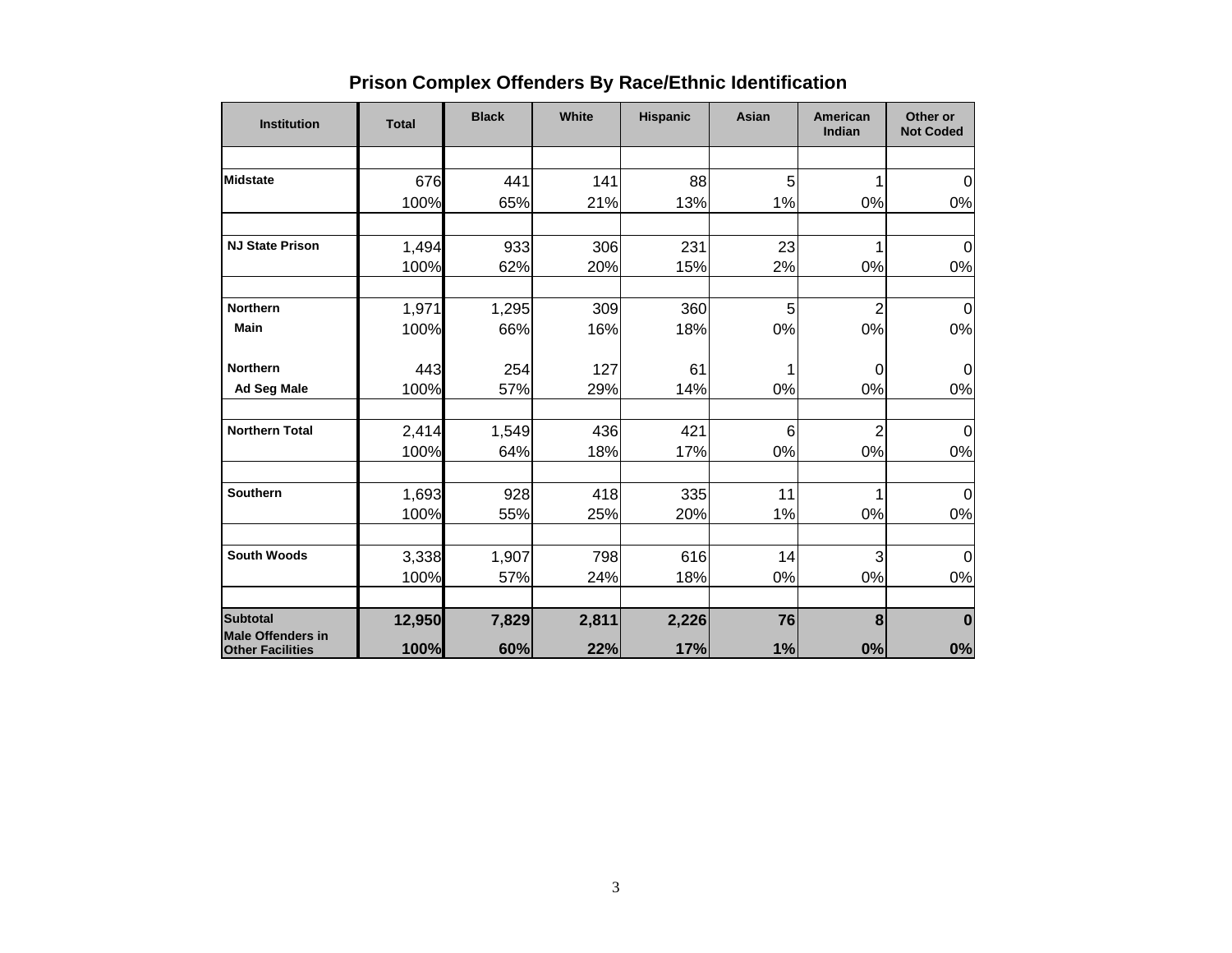| <b>Institution</b>                                  | <b>Total</b> | <b>Black</b> | White | <b>Hispanic</b> | Asian           | American<br>Indian | Other or<br><b>Not Coded</b> |
|-----------------------------------------------------|--------------|--------------|-------|-----------------|-----------------|--------------------|------------------------------|
|                                                     |              |              |       |                 |                 |                    |                              |
| <b>Midstate</b>                                     | 676          | 441          | 141   | 88              | 5               |                    | $\Omega$                     |
|                                                     | 100%         | 65%          | 21%   | 13%             | 1%              | 0%                 | $0\%$                        |
|                                                     |              |              |       |                 |                 |                    |                              |
| <b>NJ State Prison</b>                              | 1,494        | 933          | 306   | 231             | 23              | 1                  | 0                            |
|                                                     | 100%         | 62%          | 20%   | 15%             | 2%              | 0%                 | 0%                           |
| <b>Northern</b>                                     |              |              |       |                 |                 |                    |                              |
| Main                                                | 1,971        | 1,295        | 309   | 360             | 5               | $\overline{c}$     | $\overline{0}$               |
|                                                     | 100%         | 66%          | 16%   | 18%             | 0%              | 0%                 | 0%                           |
| <b>Northern</b>                                     | 443          | 254          | 127   | 61              | 1               | 0                  | $\Omega$                     |
| <b>Ad Seg Male</b>                                  | 100%         | 57%          | 29%   | 14%             | 0%              | 0%                 | 0%                           |
| <b>Northern Total</b>                               | 2,414        | 1,549        | 436   | 421             | $6\phantom{1}6$ | $\overline{2}$     | 0                            |
|                                                     | 100%         | 64%          | 18%   | 17%             | 0%              | 0%                 | 0%                           |
|                                                     |              |              |       |                 |                 |                    |                              |
| Southern                                            | 1,693        | 928          | 418   | 335             | 11              |                    | $\Omega$                     |
|                                                     | 100%         | 55%          | 25%   | 20%             | 1%              | 0%                 | 0%                           |
| <b>South Woods</b>                                  |              |              | 798   | 616             | 14              | 3                  |                              |
|                                                     | 3,338        | 1,907        |       |                 |                 |                    | $\Omega$                     |
|                                                     | 100%         | 57%          | 24%   | 18%             | 0%              | 0%                 | 0%                           |
| <b>Subtotal</b>                                     | 12,950       | 7,829        | 2,811 | 2,226           | 76              | 8                  | $\bf{0}$                     |
| <b>Male Offenders in</b><br><b>Other Facilities</b> | 100%         | 60%          | 22%   | 17%             | 1%              | 0%                 | 0%                           |

# **Prison Complex Offenders By Race/Ethnic Identification**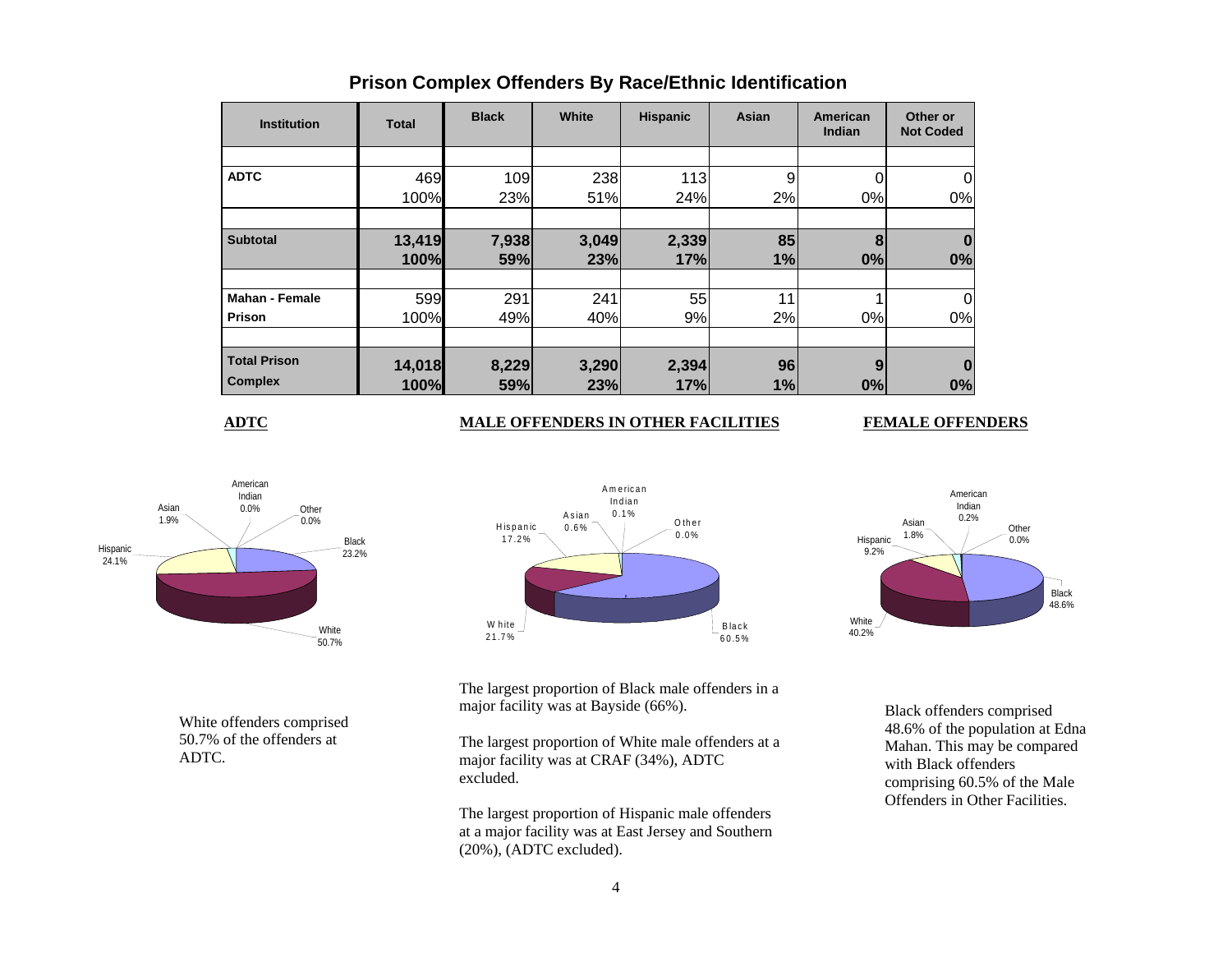| <b>Institution</b>    | <b>Total</b> | <b>Black</b> | White | <b>Hispanic</b> | Asian | American<br>Indian | Other or<br><b>Not Coded</b> |
|-----------------------|--------------|--------------|-------|-----------------|-------|--------------------|------------------------------|
|                       |              |              |       |                 |       |                    |                              |
| <b>ADTC</b>           | 469          | 109          | 238   | 113             | 9     |                    |                              |
|                       | 100%         | 23%          | 51%   | 24%             | 2%    | 0%                 | 0%                           |
|                       |              |              |       |                 |       |                    |                              |
| <b>Subtotal</b>       | 13,419       | 7,938        | 3,049 | 2,339           | 85    | 8                  |                              |
|                       | 100%         | 59%          | 23%   | 17%             | 1%    | 0%                 | 0%                           |
|                       |              |              |       |                 |       |                    |                              |
| <b>Mahan - Female</b> | 599          | 291          | 241   | 55              | 11    |                    |                              |
| Prison                | 100%         | 49%          | 40%   | 9%              | 2%    | 0%                 | 0%                           |
|                       |              |              |       |                 |       |                    |                              |
| <b>Total Prison</b>   | 14,018       | 8,229        | 3,290 | 2,394           | 96    | 9                  |                              |
| <b>Complex</b>        | 100%         | 59%          | 23%   | 17%             | 1%    | 0%                 | 0%                           |

## **Prison Complex Offenders By Race/Ethnic Identification**

**ADTC**

### **MALE OFFENDERS IN OTHER FACILITIES FEMALE OFFENDERS**



White offenders comprised 50.7% of the offenders at ADTC.



White 40.2%Black 48.6%Hispanic 9.2% Asian 1.8%Other  $0.0\%$ American Indian0.2%

The largest proportion of Black male offenders in a major facility was at Bayside (66%).

The largest proportion of White male offenders at a major facility was at CRAF (34%), ADTC excluded.

The largest proportion of Hispanic male offenders at a major facility was at East Jersey and Southern (20%), (ADTC excluded).

Black offenders comprised 48.6% of the population at Edna Mahan. This may be compared with Black offenders comprising 60.5% of the Male Offenders in Other Facilities.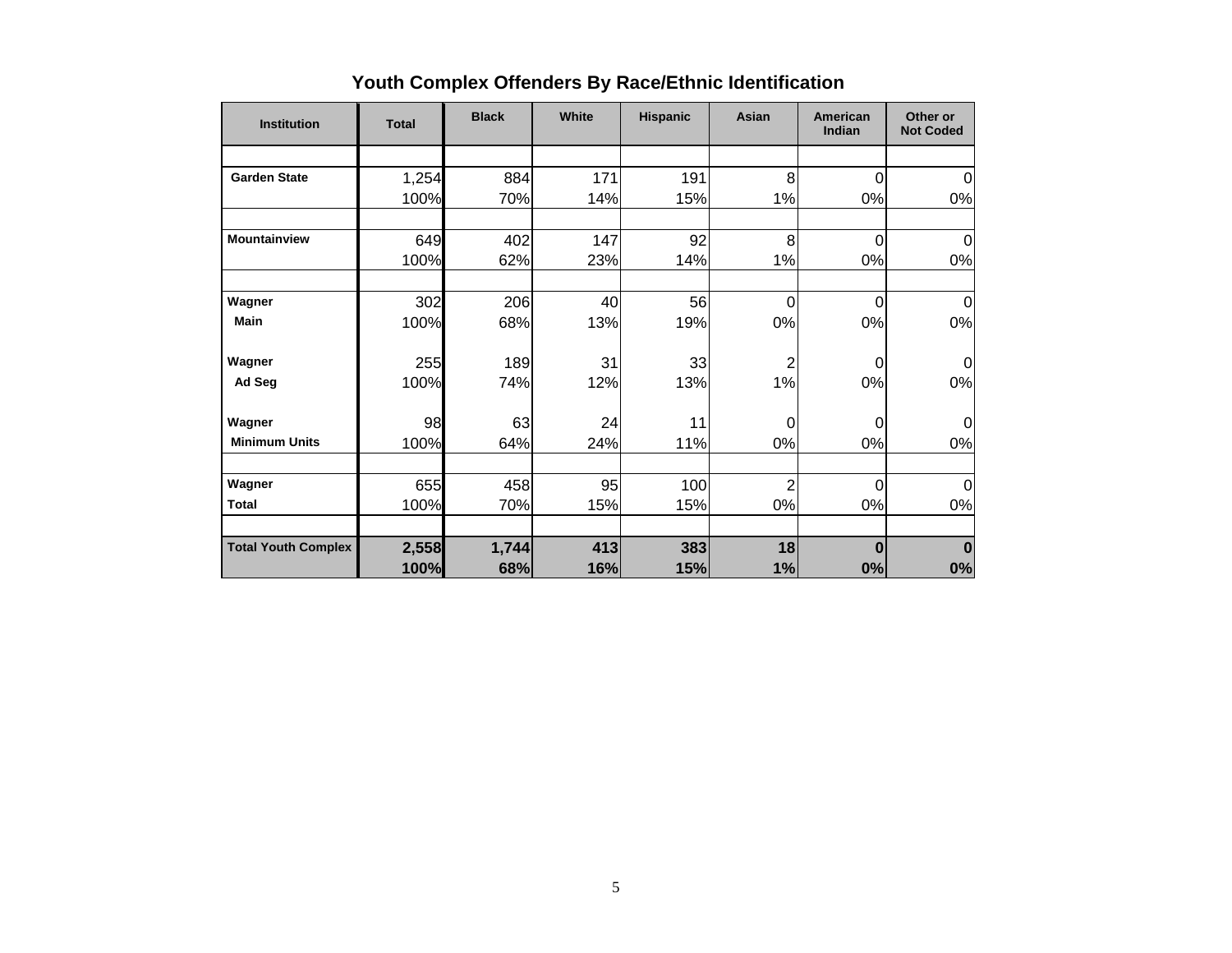| <b>Institution</b>         | <b>Total</b> | <b>Black</b> | White | <b>Hispanic</b> | Asian          | American<br>Indian | Other or<br><b>Not Coded</b> |
|----------------------------|--------------|--------------|-------|-----------------|----------------|--------------------|------------------------------|
|                            |              |              |       |                 |                |                    |                              |
| <b>Garden State</b>        | 1,254        | 884          | 171   | 191             | 8              | 0                  | $\mathbf 0$                  |
|                            | 100%         | 70%          | 14%   | 15%             | 1%             | 0%                 | 0%                           |
| <b>Mountainview</b>        | 649          | 402          | 147   | 92              | 8              | 0                  | 0                            |
|                            | 100%         | 62%          | 23%   | 14%             | 1%             | 0%                 | 0%                           |
| Wagner                     | 302          | 206          | 40    | 56              | $\overline{0}$ | 0                  | $\Omega$                     |
| <b>Main</b>                | 100%         | 68%          | 13%   | 19%             | 0%             | 0%                 | 0%                           |
| Wagner                     | 255          | 189          | 31    | 33              | $\overline{2}$ | 0                  | $\Omega$                     |
| Ad Seg                     | 100%         | 74%          | 12%   | 13%             | 1%             | 0%                 | 0%                           |
| Wagner                     | 98           | 63           | 24    | 11              | $\Omega$       | $\Omega$           | $\Omega$                     |
| <b>Minimum Units</b>       | 100%         | 64%          | 24%   | 11%             | 0%             | 0%                 | 0%                           |
| Wagner                     | 655          | 458          | 95    | 100             | $\overline{2}$ | $\Omega$           | $\mathbf 0$                  |
| <b>Total</b>               | 100%         | 70%          | 15%   | 15%             | 0%             | 0%                 | 0%                           |
| <b>Total Youth Complex</b> | 2,558        | 1,744        | 413   | 383             | 18             | 0                  | $\bf{0}$                     |
|                            | 100%         | 68%          | 16%   | 15%             | 1%             | 0%                 | 0%                           |

# **Youth Complex Offenders By Race/Ethnic Identification**